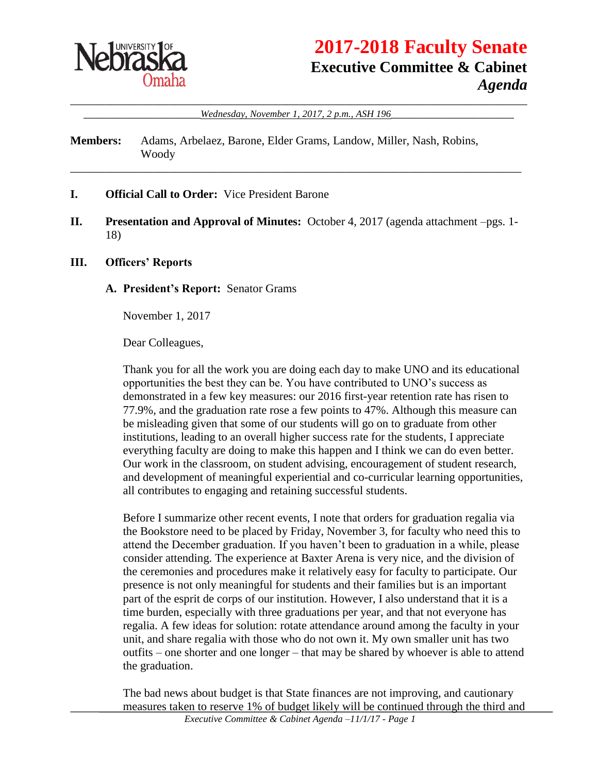

# **2017-2018 Faculty Senate Executive Committee & Cabinet** *Agenda*

\_\_\_\_\_\_\_\_\_\_\_\_\_\_\_\_\_\_\_\_\_\_\_\_\_\_\_\_\_\_\_\_\_\_\_\_\_\_\_\_\_\_\_\_\_\_\_\_\_\_\_\_\_\_\_\_\_\_\_\_\_\_\_\_\_\_\_\_\_\_\_\_\_\_\_\_\_\_ \_\_\_\_\_\_\_\_\_\_\_\_\_\_\_\_\_\_\_\_*Wednesday, November 1, 2017, 2 p.m., ASH 196*\_\_\_\_\_\_\_\_\_\_\_\_\_\_\_\_\_\_\_\_\_

**Members:** Adams, Arbelaez, Barone, Elder Grams, Landow, Miller, Nash, Robins, Woody

- **I. Official Call to Order:** Vice President Barone
- **II. Presentation and Approval of Minutes:** October 4, 2017 (agenda attachment –pgs. 1- 18)

\_\_\_\_\_\_\_\_\_\_\_\_\_\_\_\_\_\_\_\_\_\_\_\_\_\_\_\_\_\_\_\_\_\_\_\_\_\_\_\_\_\_\_\_\_\_\_\_\_\_\_\_\_\_\_\_\_\_\_\_\_\_\_\_\_\_\_\_\_\_\_\_\_\_\_\_\_

#### **III. Officers' Reports**

**A. President's Report:** Senator Grams

November 1, 2017

Dear Colleagues,

Thank you for all the work you are doing each day to make UNO and its educational opportunities the best they can be. You have contributed to UNO's success as demonstrated in a few key measures: our 2016 first-year retention rate has risen to 77.9%, and the graduation rate rose a few points to 47%. Although this measure can be misleading given that some of our students will go on to graduate from other institutions, leading to an overall higher success rate for the students, I appreciate everything faculty are doing to make this happen and I think we can do even better. Our work in the classroom, on student advising, encouragement of student research, and development of meaningful experiential and co-curricular learning opportunities, all contributes to engaging and retaining successful students.

Before I summarize other recent events, I note that orders for graduation regalia via the Bookstore need to be placed by Friday, November 3, for faculty who need this to attend the December graduation. If you haven't been to graduation in a while, please consider attending. The experience at Baxter Arena is very nice, and the division of the ceremonies and procedures make it relatively easy for faculty to participate. Our presence is not only meaningful for students and their families but is an important part of the esprit de corps of our institution. However, I also understand that it is a time burden, especially with three graduations per year, and that not everyone has regalia. A few ideas for solution: rotate attendance around among the faculty in your unit, and share regalia with those who do not own it. My own smaller unit has two outfits – one shorter and one longer – that may be shared by whoever is able to attend the graduation.

The bad news about budget is that State finances are not improving, and cautionary measures taken to reserve 1% of budget likely will be continued through the third and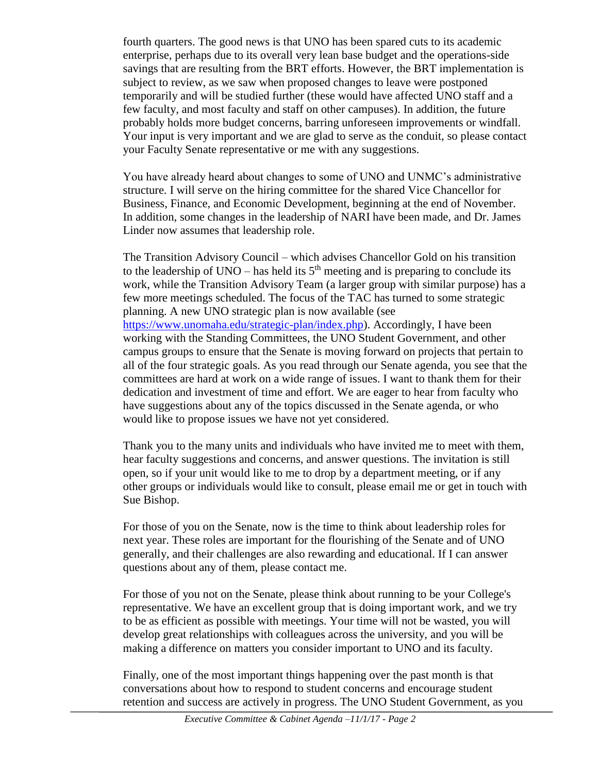fourth quarters. The good news is that UNO has been spared cuts to its academic enterprise, perhaps due to its overall very lean base budget and the operations-side savings that are resulting from the BRT efforts. However, the BRT implementation is subject to review, as we saw when proposed changes to leave were postponed temporarily and will be studied further (these would have affected UNO staff and a few faculty, and most faculty and staff on other campuses). In addition, the future probably holds more budget concerns, barring unforeseen improvements or windfall. Your input is very important and we are glad to serve as the conduit, so please contact your Faculty Senate representative or me with any suggestions.

You have already heard about changes to some of UNO and UNMC's administrative structure. I will serve on the hiring committee for the shared Vice Chancellor for Business, Finance, and Economic Development, beginning at the end of November. In addition, some changes in the leadership of NARI have been made, and Dr. James Linder now assumes that leadership role.

The Transition Advisory Council – which advises Chancellor Gold on his transition to the leadership of UNO – has held its  $5<sup>th</sup>$  meeting and is preparing to conclude its work, while the Transition Advisory Team (a larger group with similar purpose) has a few more meetings scheduled. The focus of the TAC has turned to some strategic planning. A new UNO strategic plan is now available (see [https://www.unomaha.edu/strategic-plan/index.php\)](https://www.unomaha.edu/strategic-plan/index.php). Accordingly, I have been working with the Standing Committees, the UNO Student Government, and other campus groups to ensure that the Senate is moving forward on projects that pertain to all of the four strategic goals. As you read through our Senate agenda, you see that the committees are hard at work on a wide range of issues. I want to thank them for their dedication and investment of time and effort. We are eager to hear from faculty who have suggestions about any of the topics discussed in the Senate agenda, or who would like to propose issues we have not yet considered.

Thank you to the many units and individuals who have invited me to meet with them, hear faculty suggestions and concerns, and answer questions. The invitation is still open, so if your unit would like to me to drop by a department meeting, or if any other groups or individuals would like to consult, please email me or get in touch with Sue Bishop.

For those of you on the Senate, now is the time to think about leadership roles for next year. These roles are important for the flourishing of the Senate and of UNO generally, and their challenges are also rewarding and educational. If I can answer questions about any of them, please contact me.

For those of you not on the Senate, please think about running to be your College's representative. We have an excellent group that is doing important work, and we try to be as efficient as possible with meetings. Your time will not be wasted, you will develop great relationships with colleagues across the university, and you will be making a difference on matters you consider important to UNO and its faculty.

Finally, one of the most important things happening over the past month is that conversations about how to respond to student concerns and encourage student retention and success are actively in progress. The UNO Student Government, as you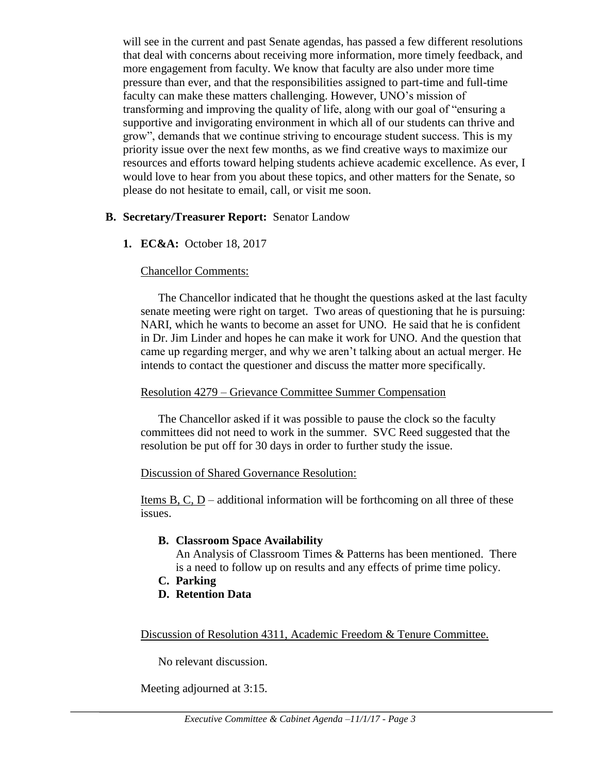will see in the current and past Senate agendas, has passed a few different resolutions that deal with concerns about receiving more information, more timely feedback, and more engagement from faculty. We know that faculty are also under more time pressure than ever, and that the responsibilities assigned to part-time and full-time faculty can make these matters challenging. However, UNO's mission of transforming and improving the quality of life, along with our goal of "ensuring a supportive and invigorating environment in which all of our students can thrive and grow", demands that we continue striving to encourage student success. This is my priority issue over the next few months, as we find creative ways to maximize our resources and efforts toward helping students achieve academic excellence. As ever, I would love to hear from you about these topics, and other matters for the Senate, so please do not hesitate to email, call, or visit me soon.

### **B. Secretary/Treasurer Report:** Senator Landow

**1. EC&A:** October 18, 2017

### Chancellor Comments:

The Chancellor indicated that he thought the questions asked at the last faculty senate meeting were right on target. Two areas of questioning that he is pursuing: NARI, which he wants to become an asset for UNO. He said that he is confident in Dr. Jim Linder and hopes he can make it work for UNO. And the question that came up regarding merger, and why we aren't talking about an actual merger. He intends to contact the questioner and discuss the matter more specifically.

#### Resolution 4279 – Grievance Committee Summer Compensation

The Chancellor asked if it was possible to pause the clock so the faculty committees did not need to work in the summer. SVC Reed suggested that the resolution be put off for 30 days in order to further study the issue.

#### Discussion of Shared Governance Resolution:

Items  $B, C, D$  – additional information will be forthcoming on all three of these issues.

#### **B. Classroom Space Availability**

An Analysis of Classroom Times & Patterns has been mentioned. There is a need to follow up on results and any effects of prime time policy.

- **C. Parking**
- **D. Retention Data**

Discussion of Resolution 4311, Academic Freedom & Tenure Committee.

No relevant discussion.

Meeting adjourned at 3:15.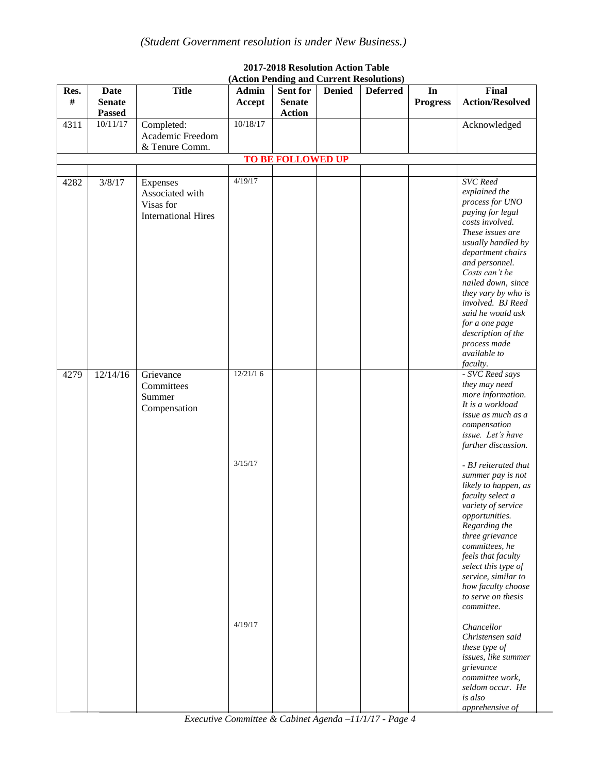|      |               |                            |              |                          |               | (Action Pending and Current Resolutions) |                 |                        |
|------|---------------|----------------------------|--------------|--------------------------|---------------|------------------------------------------|-----------------|------------------------|
| Res. | <b>Date</b>   | <b>Title</b>               | <b>Admin</b> | Sent for                 | <b>Denied</b> | <b>Deferred</b>                          | In              | Final                  |
| $\#$ | <b>Senate</b> |                            | Accept       | <b>Senate</b>            |               |                                          | <b>Progress</b> | <b>Action/Resolved</b> |
|      | <b>Passed</b> |                            |              | <b>Action</b>            |               |                                          |                 |                        |
| 4311 | 10/11/17      | Completed:                 | 10/18/17     |                          |               |                                          |                 |                        |
|      |               |                            |              |                          |               |                                          |                 | Acknowledged           |
|      |               | Academic Freedom           |              |                          |               |                                          |                 |                        |
|      |               | & Tenure Comm.             |              |                          |               |                                          |                 |                        |
|      |               |                            |              | <b>TO BE FOLLOWED UP</b> |               |                                          |                 |                        |
|      |               |                            |              |                          |               |                                          |                 |                        |
| 4282 | 3/8/17        | Expenses                   | 4/19/17      |                          |               |                                          |                 | <b>SVC</b> Reed        |
|      |               | Associated with            |              |                          |               |                                          |                 | explained the          |
|      |               | Visas for                  |              |                          |               |                                          |                 | process for UNO        |
|      |               | <b>International Hires</b> |              |                          |               |                                          |                 | paying for legal       |
|      |               |                            |              |                          |               |                                          |                 | costs involved.        |
|      |               |                            |              |                          |               |                                          |                 | These issues are       |
|      |               |                            |              |                          |               |                                          |                 | usually handled by     |
|      |               |                            |              |                          |               |                                          |                 | department chairs      |
|      |               |                            |              |                          |               |                                          |                 | and personnel.         |
|      |               |                            |              |                          |               |                                          |                 | Costs can't be         |
|      |               |                            |              |                          |               |                                          |                 | nailed down, since     |
|      |               |                            |              |                          |               |                                          |                 | they vary by who is    |
|      |               |                            |              |                          |               |                                          |                 | involved. BJ Reed      |
|      |               |                            |              |                          |               |                                          |                 | said he would ask      |
|      |               |                            |              |                          |               |                                          |                 | for a one page         |
|      |               |                            |              |                          |               |                                          |                 | description of the     |
|      |               |                            |              |                          |               |                                          |                 | process made           |
|      |               |                            |              |                          |               |                                          |                 | available to           |
|      |               |                            |              |                          |               |                                          |                 | faculty.               |
| 4279 | 12/14/16      | Grievance                  | 12/21/16     |                          |               |                                          |                 | - SVC Reed says        |
|      |               | Committees                 |              |                          |               |                                          |                 | they may need          |
|      |               | Summer                     |              |                          |               |                                          |                 | more information.      |
|      |               | Compensation               |              |                          |               |                                          |                 | It is a workload       |
|      |               |                            |              |                          |               |                                          |                 | issue as much as a     |
|      |               |                            |              |                          |               |                                          |                 | compensation           |
|      |               |                            |              |                          |               |                                          |                 | issue. Let's have      |
|      |               |                            |              |                          |               |                                          |                 | further discussion.    |
|      |               |                            |              |                          |               |                                          |                 |                        |
|      |               |                            | 3/15/17      |                          |               |                                          |                 | - BJ reiterated that   |
|      |               |                            |              |                          |               |                                          |                 | summer pay is not      |
|      |               |                            |              |                          |               |                                          |                 | likely to happen, as   |
|      |               |                            |              |                          |               |                                          |                 | faculty select a       |
|      |               |                            |              |                          |               |                                          |                 | variety of service     |
|      |               |                            |              |                          |               |                                          |                 | opportunities.         |
|      |               |                            |              |                          |               |                                          |                 | Regarding the          |
|      |               |                            |              |                          |               |                                          |                 | three grievance        |
|      |               |                            |              |                          |               |                                          |                 | committees, he         |
|      |               |                            |              |                          |               |                                          |                 | feels that faculty     |
|      |               |                            |              |                          |               |                                          |                 | select this type of    |
|      |               |                            |              |                          |               |                                          |                 | service, similar to    |
|      |               |                            |              |                          |               |                                          |                 | how faculty choose     |
|      |               |                            |              |                          |               |                                          |                 | to serve on thesis     |
|      |               |                            |              |                          |               |                                          |                 | committee.             |
|      |               |                            | 4/19/17      |                          |               |                                          |                 |                        |
|      |               |                            |              |                          |               |                                          |                 | Chancellor             |
|      |               |                            |              |                          |               |                                          |                 | Christensen said       |
|      |               |                            |              |                          |               |                                          |                 | these type of          |
|      |               |                            |              |                          |               |                                          |                 | issues, like summer    |
|      |               |                            |              |                          |               |                                          |                 | grievance              |
|      |               |                            |              |                          |               |                                          |                 | committee work,        |
|      |               |                            |              |                          |               |                                          |                 | seldom occur. He       |
|      |               |                            |              |                          |               |                                          |                 | is also                |
|      |               |                            |              |                          |               |                                          |                 | apprehensive of        |

#### **2017-2018 Resolution Action Table (Action Pending and Current Resolutions)**

*Executive Committee & Cabinet Agenda –11/1/17 - Page 4*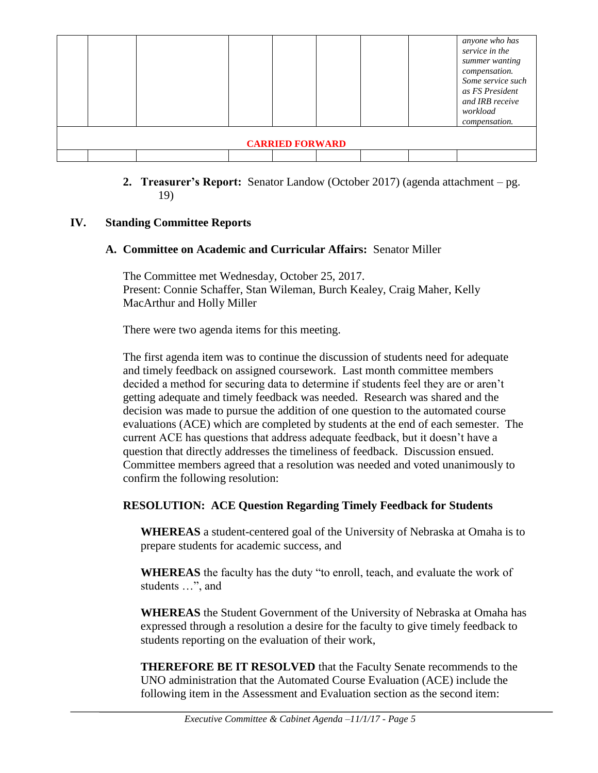|                        |  |  |  |  |  |  |  | anyone who has<br>service in the<br>summer wanting<br>compensation.<br>Some service such<br>as FS President<br>and IRB receive<br>workload<br>compensation. |
|------------------------|--|--|--|--|--|--|--|-------------------------------------------------------------------------------------------------------------------------------------------------------------|
| <b>CARRIED FORWARD</b> |  |  |  |  |  |  |  |                                                                                                                                                             |

#### **2. Treasurer's Report:** Senator Landow (October 2017) (agenda attachment – pg. 19)

### **IV. Standing Committee Reports**

### **A. Committee on Academic and Curricular Affairs:** Senator Miller

The Committee met Wednesday, October 25, 2017. Present: Connie Schaffer, Stan Wileman, Burch Kealey, Craig Maher, Kelly MacArthur and Holly Miller

There were two agenda items for this meeting.

The first agenda item was to continue the discussion of students need for adequate and timely feedback on assigned coursework. Last month committee members decided a method for securing data to determine if students feel they are or aren't getting adequate and timely feedback was needed. Research was shared and the decision was made to pursue the addition of one question to the automated course evaluations (ACE) which are completed by students at the end of each semester. The current ACE has questions that address adequate feedback, but it doesn't have a question that directly addresses the timeliness of feedback. Discussion ensued. Committee members agreed that a resolution was needed and voted unanimously to confirm the following resolution:

### **RESOLUTION: ACE Question Regarding Timely Feedback for Students**

**WHEREAS** a student-centered goal of the University of Nebraska at Omaha is to prepare students for academic success, and

**WHEREAS** the faculty has the duty "to enroll, teach, and evaluate the work of students …", and

**WHEREAS** the Student Government of the University of Nebraska at Omaha has expressed through a resolution a desire for the faculty to give timely feedback to students reporting on the evaluation of their work,

**THEREFORE BE IT RESOLVED** that the Faculty Senate recommends to the UNO administration that the Automated Course Evaluation (ACE) include the following item in the Assessment and Evaluation section as the second item: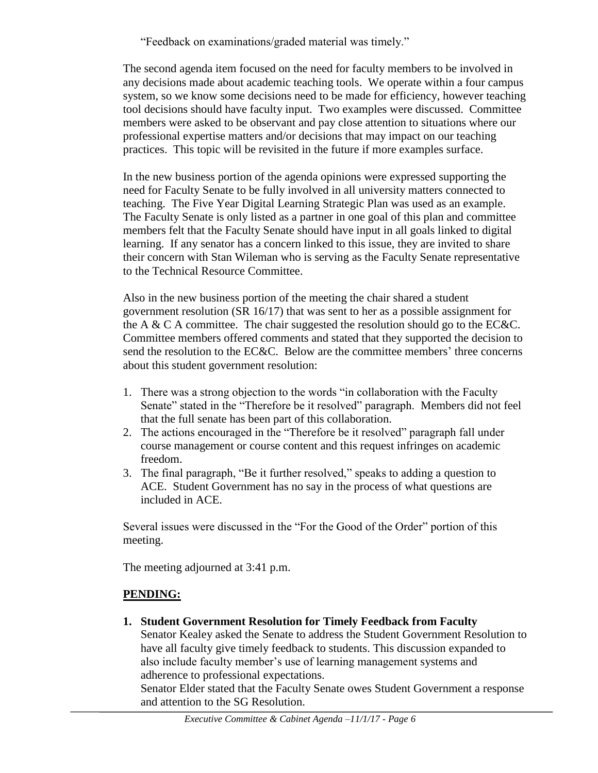"Feedback on examinations/graded material was timely."

The second agenda item focused on the need for faculty members to be involved in any decisions made about academic teaching tools. We operate within a four campus system, so we know some decisions need to be made for efficiency, however teaching tool decisions should have faculty input. Two examples were discussed. Committee members were asked to be observant and pay close attention to situations where our professional expertise matters and/or decisions that may impact on our teaching practices. This topic will be revisited in the future if more examples surface.

In the new business portion of the agenda opinions were expressed supporting the need for Faculty Senate to be fully involved in all university matters connected to teaching. The Five Year Digital Learning Strategic Plan was used as an example. The Faculty Senate is only listed as a partner in one goal of this plan and committee members felt that the Faculty Senate should have input in all goals linked to digital learning. If any senator has a concern linked to this issue, they are invited to share their concern with Stan Wileman who is serving as the Faculty Senate representative to the Technical Resource Committee.

Also in the new business portion of the meeting the chair shared a student government resolution (SR 16/17) that was sent to her as a possible assignment for the A & C A committee. The chair suggested the resolution should go to the EC&C. Committee members offered comments and stated that they supported the decision to send the resolution to the EC&C. Below are the committee members' three concerns about this student government resolution:

- 1. There was a strong objection to the words "in collaboration with the Faculty Senate" stated in the "Therefore be it resolved" paragraph. Members did not feel that the full senate has been part of this collaboration.
- 2. The actions encouraged in the "Therefore be it resolved" paragraph fall under course management or course content and this request infringes on academic freedom.
- 3. The final paragraph, "Be it further resolved," speaks to adding a question to ACE. Student Government has no say in the process of what questions are included in ACE.

Several issues were discussed in the "For the Good of the Order" portion of this meeting.

The meeting adjourned at 3:41 p.m.

### **PENDING:**

**1. Student Government Resolution for Timely Feedback from Faculty** Senator Kealey asked the Senate to address the Student Government Resolution to have all faculty give timely feedback to students. This discussion expanded to also include faculty member's use of learning management systems and adherence to professional expectations. Senator Elder stated that the Faculty Senate owes Student Government a response and attention to the SG Resolution.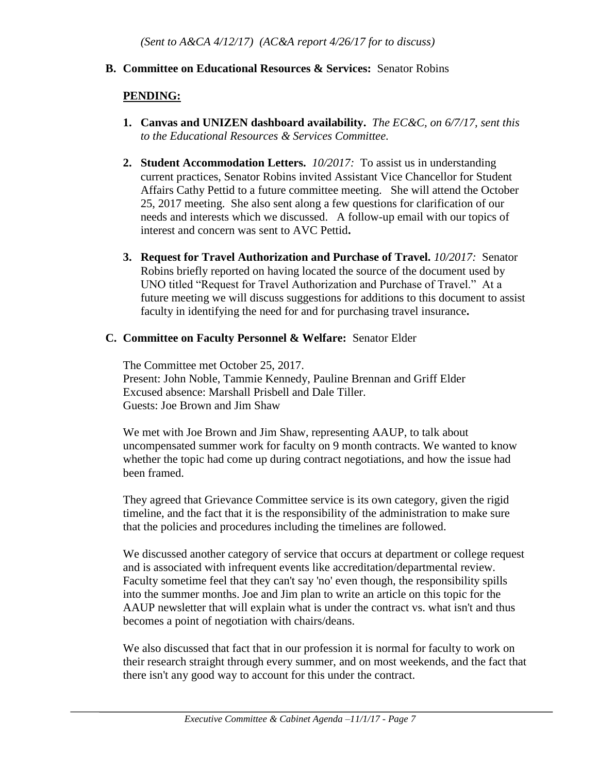#### **B. Committee on Educational Resources & Services:** Senator Robins

#### **PENDING:**

- **1. Canvas and UNIZEN dashboard availability.** *The EC&C, on 6/7/17, sent this to the Educational Resources & Services Committee.*
- **2. Student Accommodation Letters.** *10/2017:* To assist us in understanding current practices, Senator Robins invited Assistant Vice Chancellor for Student Affairs Cathy Pettid to a future committee meeting. She will attend the October 25, 2017 meeting. She also sent along a few questions for clarification of our needs and interests which we discussed. A follow-up email with our topics of interest and concern was sent to AVC Pettid**.**
- **3. Request for Travel Authorization and Purchase of Travel.** *10/2017:* Senator Robins briefly reported on having located the source of the document used by UNO titled "Request for Travel Authorization and Purchase of Travel." At a future meeting we will discuss suggestions for additions to this document to assist faculty in identifying the need for and for purchasing travel insurance**.**

#### **C. Committee on Faculty Personnel & Welfare:** Senator Elder

The Committee met October 25, 2017. Present: John Noble, Tammie Kennedy, Pauline Brennan and Griff Elder Excused absence: Marshall Prisbell and Dale Tiller. Guests: Joe Brown and Jim Shaw

We met with Joe Brown and Jim Shaw, representing AAUP, to talk about uncompensated summer work for faculty on 9 month contracts. We wanted to know whether the topic had come up during contract negotiations, and how the issue had been framed.

They agreed that Grievance Committee service is its own category, given the rigid timeline, and the fact that it is the responsibility of the administration to make sure that the policies and procedures including the timelines are followed.

We discussed another category of service that occurs at department or college request and is associated with infrequent events like accreditation/departmental review. Faculty sometime feel that they can't say 'no' even though, the responsibility spills into the summer months. Joe and Jim plan to write an article on this topic for the AAUP newsletter that will explain what is under the contract vs. what isn't and thus becomes a point of negotiation with chairs/deans.

We also discussed that fact that in our profession it is normal for faculty to work on their research straight through every summer, and on most weekends, and the fact that there isn't any good way to account for this under the contract.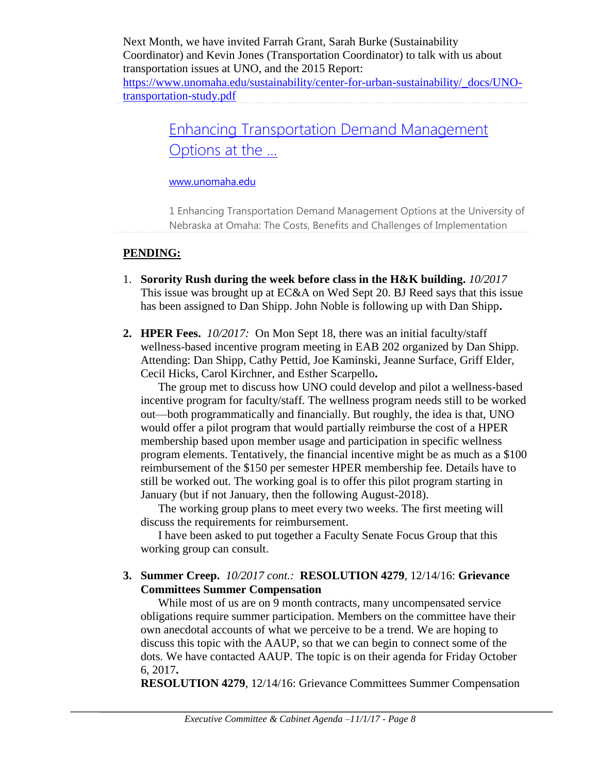Next Month, we have invited Farrah Grant, Sarah Burke (Sustainability Coordinator) and Kevin Jones (Transportation Coordinator) to talk with us about transportation issues at UNO, and the 2015 Report: [https://www.unomaha.edu/sustainability/center-for-urban-sustainability/\\_docs/UNO](https://www.unomaha.edu/sustainability/center-for-urban-sustainability/_docs/UNO-transportation-study.pdf)[transportation-study.pdf](https://www.unomaha.edu/sustainability/center-for-urban-sustainability/_docs/UNO-transportation-study.pdf)

> [Enhancing Transportation Demand Management](https://www.unomaha.edu/sustainability/center-for-urban-sustainability/_docs/UNO-transportation-study.pdf)  [Options at the ...](https://www.unomaha.edu/sustainability/center-for-urban-sustainability/_docs/UNO-transportation-study.pdf)

#### [www.unomaha.edu](http://www.unomaha.edu/)

1 Enhancing Transportation Demand Management Options at the University of Nebraska at Omaha: The Costs, Benefits and Challenges of Implementation

### **PENDING:**

- 1. **Sorority Rush during the week before class in the H&K building.** *10/2017* This issue was brought up at EC&A on Wed Sept 20. BJ Reed says that this issue has been assigned to Dan Shipp. John Noble is following up with Dan Shipp**.**
- **2. HPER Fees.** *10/2017:*On Mon Sept 18, there was an initial faculty/staff wellness-based incentive program meeting in EAB 202 organized by Dan Shipp. Attending: Dan Shipp, Cathy Pettid, Joe Kaminski, Jeanne Surface, Griff Elder, Cecil Hicks, Carol Kirchner, and Esther Scarpello**.**

The group met to discuss how UNO could develop and pilot a wellness-based incentive program for faculty/staff. The wellness program needs still to be worked out—both programmatically and financially. But roughly, the idea is that, UNO would offer a pilot program that would partially reimburse the cost of a HPER membership based upon member usage and participation in specific wellness program elements. Tentatively, the financial incentive might be as much as a \$100 reimbursement of the \$150 per semester HPER membership fee. Details have to still be worked out. The working goal is to offer this pilot program starting in January (but if not January, then the following August-2018).

The working group plans to meet every two weeks. The first meeting will discuss the requirements for reimbursement.

I have been asked to put together a Faculty Senate Focus Group that this working group can consult.

**3. Summer Creep.** *10/2017 cont.:* **RESOLUTION 4279**, 12/14/16: **Grievance Committees Summer Compensation**

While most of us are on 9 month contracts, many uncompensated service obligations require summer participation. Members on the committee have their own anecdotal accounts of what we perceive to be a trend. We are hoping to discuss this topic with the AAUP, so that we can begin to connect some of the dots. We have contacted AAUP. The topic is on their agenda for Friday October 6, 2017**.**

**RESOLUTION 4279**, 12/14/16: Grievance Committees Summer Compensation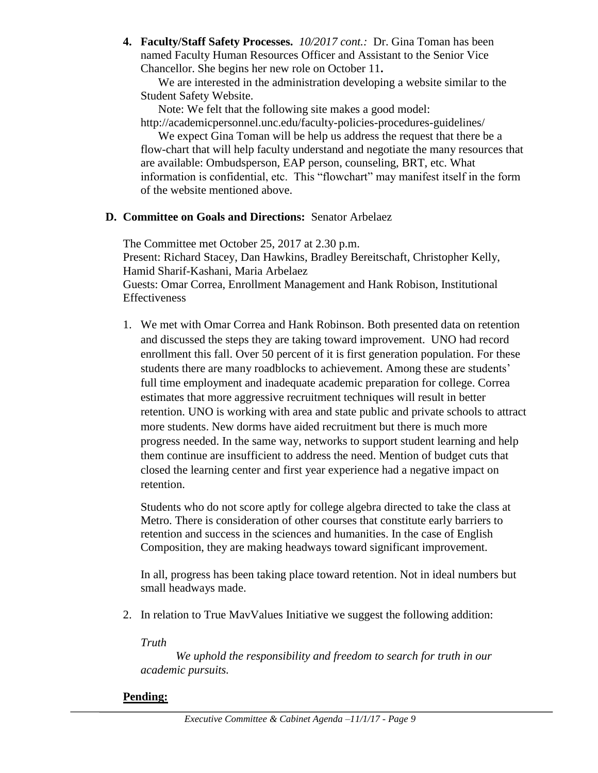**4. Faculty/Staff Safety Processes.** *10/2017 cont.:* Dr. Gina Toman has been named Faculty Human Resources Officer and Assistant to the Senior Vice Chancellor. She begins her new role on October 11**.**

We are interested in the administration developing a website similar to the Student Safety Website.

Note: We felt that the following site makes a good model:

http://academicpersonnel.unc.edu/faculty-policies-procedures-guidelines/

We expect Gina Toman will be help us address the request that there be a flow-chart that will help faculty understand and negotiate the many resources that are available: Ombudsperson, EAP person, counseling, BRT, etc. What information is confidential, etc. This "flowchart" may manifest itself in the form of the website mentioned above.

### **D. Committee on Goals and Directions:** Senator Arbelaez

The Committee met October 25, 2017 at 2.30 p.m. Present: Richard Stacey, Dan Hawkins, Bradley Bereitschaft, Christopher Kelly, Hamid Sharif-Kashani, Maria Arbelaez Guests: Omar Correa, Enrollment Management and Hank Robison, Institutional Effectiveness

1. We met with Omar Correa and Hank Robinson. Both presented data on retention and discussed the steps they are taking toward improvement. UNO had record enrollment this fall. Over 50 percent of it is first generation population. For these students there are many roadblocks to achievement. Among these are students' full time employment and inadequate academic preparation for college. Correa estimates that more aggressive recruitment techniques will result in better retention. UNO is working with area and state public and private schools to attract more students. New dorms have aided recruitment but there is much more progress needed. In the same way, networks to support student learning and help them continue are insufficient to address the need. Mention of budget cuts that closed the learning center and first year experience had a negative impact on retention.

Students who do not score aptly for college algebra directed to take the class at Metro. There is consideration of other courses that constitute early barriers to retention and success in the sciences and humanities. In the case of English Composition, they are making headways toward significant improvement.

In all, progress has been taking place toward retention. Not in ideal numbers but small headways made.

2. In relation to True MavValues Initiative we suggest the following addition:

*Truth*

*We uphold the responsibility and freedom to search for truth in our academic pursuits.*

### **Pending:**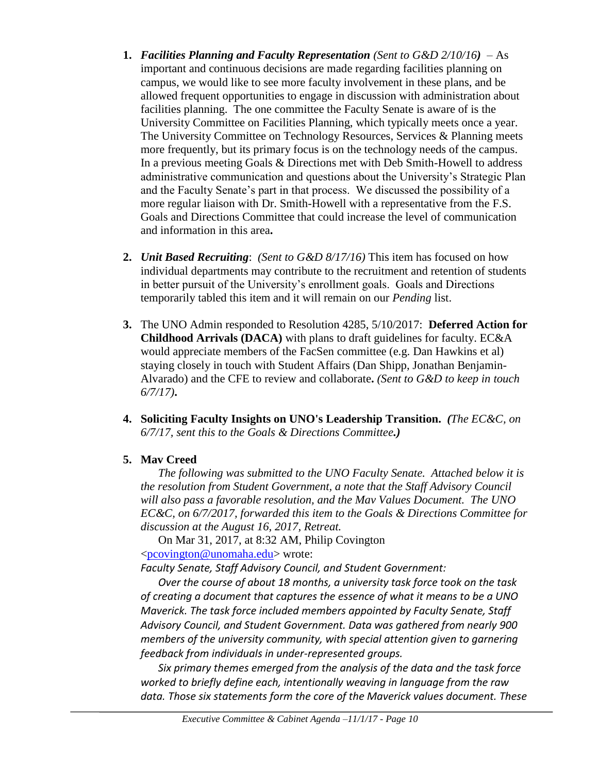- **1.** *Facilities Planning and Faculty Representation (Sent to G&D 2/10/16)* As important and continuous decisions are made regarding facilities planning on campus, we would like to see more faculty involvement in these plans, and be allowed frequent opportunities to engage in discussion with administration about facilities planning. The one committee the Faculty Senate is aware of is the University Committee on Facilities Planning, which typically meets once a year. The University Committee on Technology Resources, Services & Planning meets more frequently, but its primary focus is on the technology needs of the campus. In a previous meeting Goals & Directions met with Deb Smith-Howell to address administrative communication and questions about the University's Strategic Plan and the Faculty Senate's part in that process. We discussed the possibility of a more regular liaison with Dr. Smith-Howell with a representative from the F.S. Goals and Directions Committee that could increase the level of communication and information in this area**.**
- **2.** *Unit Based Recruiting*: *(Sent to G&D 8/17/16)* This item has focused on how individual departments may contribute to the recruitment and retention of students in better pursuit of the University's enrollment goals. Goals and Directions temporarily tabled this item and it will remain on our *Pending* list.
- **3.** The UNO Admin responded to Resolution 4285, 5/10/2017: **Deferred Action for Childhood Arrivals (DACA)** with plans to draft guidelines for faculty. EC&A would appreciate members of the FacSen committee (e.g. Dan Hawkins et al) staying closely in touch with Student Affairs (Dan Shipp, Jonathan Benjamin-Alvarado) and the CFE to review and collaborate**.** *(Sent to G&D to keep in touch 6/7/17)***.**
- **4. Soliciting Faculty Insights on UNO's Leadership Transition.** *(The EC&C, on 6/7/17, sent this to the Goals & Directions Committee.)*
- **5. Mav Creed**

*The following was submitted to the UNO Faculty Senate. Attached below it is the resolution from Student Government, a note that the Staff Advisory Council will also pass a favorable resolution, and the Mav Values Document. The UNO EC&C, on 6/7/2017, forwarded this item to the Goals & Directions Committee for discussion at the August 16, 2017, Retreat.*

On Mar 31, 2017, at 8:32 AM, Philip Covington [<pcovington@unomaha.edu>](mailto:pcovington@unomaha.edu) wrote:

*Faculty Senate, Staff Advisory Council, and Student Government:*

*Over the course of about 18 months, a university task force took on the task of creating a document that captures the essence of what it means to be a UNO Maverick. The task force included members appointed by Faculty Senate, Staff Advisory Council, and Student Government. Data was gathered from nearly 900 members of the university community, with special attention given to garnering feedback from individuals in under-represented groups.*

*Six primary themes emerged from the analysis of the data and the task force worked to briefly define each, intentionally weaving in language from the raw data. Those six statements form the core of the Maverick values document. These*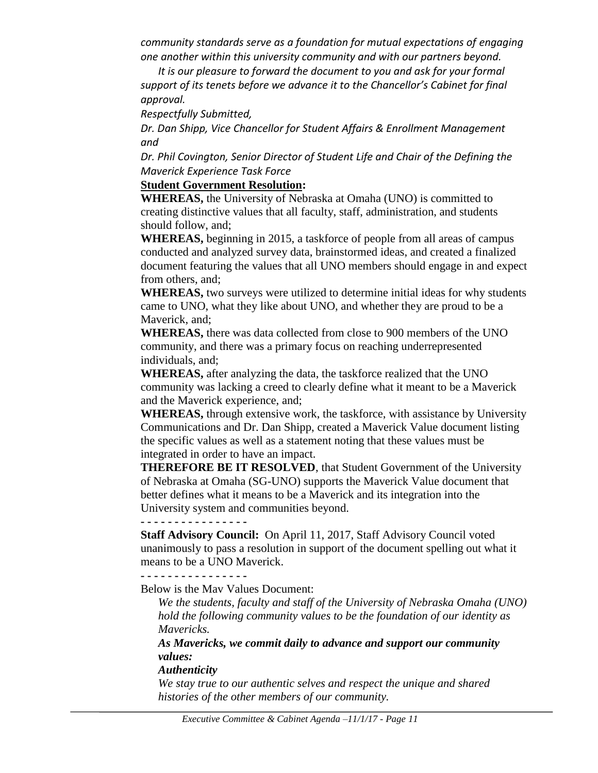*community standards serve as a foundation for mutual expectations of engaging one another within this university community and with our partners beyond.*

*It is our pleasure to forward the document to you and ask for your formal support of its tenets before we advance it to the Chancellor's Cabinet for final approval.*

*Respectfully Submitted,*

*Dr. Dan Shipp, Vice Chancellor for Student Affairs & Enrollment Management and*

*Dr. Phil Covington, Senior Director of Student Life and Chair of the Defining the Maverick Experience Task Force*

#### **Student Government Resolution:**

**WHEREAS,** the University of Nebraska at Omaha (UNO) is committed to creating distinctive values that all faculty, staff, administration, and students should follow, and;

**WHEREAS,** beginning in 2015, a taskforce of people from all areas of campus conducted and analyzed survey data, brainstormed ideas, and created a finalized document featuring the values that all UNO members should engage in and expect from others, and;

**WHEREAS,** two surveys were utilized to determine initial ideas for why students came to UNO, what they like about UNO, and whether they are proud to be a Maverick, and;

**WHEREAS,** there was data collected from close to 900 members of the UNO community, and there was a primary focus on reaching underrepresented individuals, and;

**WHEREAS,** after analyzing the data, the taskforce realized that the UNO community was lacking a creed to clearly define what it meant to be a Maverick and the Maverick experience, and;

**WHEREAS,** through extensive work, the taskforce, with assistance by University Communications and Dr. Dan Shipp, created a Maverick Value document listing the specific values as well as a statement noting that these values must be integrated in order to have an impact.

**THEREFORE BE IT RESOLVED**, that Student Government of the University of Nebraska at Omaha (SG-UNO) supports the Maverick Value document that better defines what it means to be a Maverick and its integration into the University system and communities beyond.

**- - - - - - - - - - - - - - - -**

**Staff Advisory Council:** On April 11, 2017, Staff Advisory Council voted unanimously to pass a resolution in support of the document spelling out what it means to be a UNO Maverick.

**- - - - - - - - - - - - - - - -**

Below is the Mav Values Document:

*We the students, faculty and staff of the University of Nebraska Omaha (UNO) hold the following community values to be the foundation of our identity as Mavericks.*

*As Mavericks, we commit daily to advance and support our community values:*

#### *Authenticity*

*We stay true to our authentic selves and respect the unique and shared histories of the other members of our community.*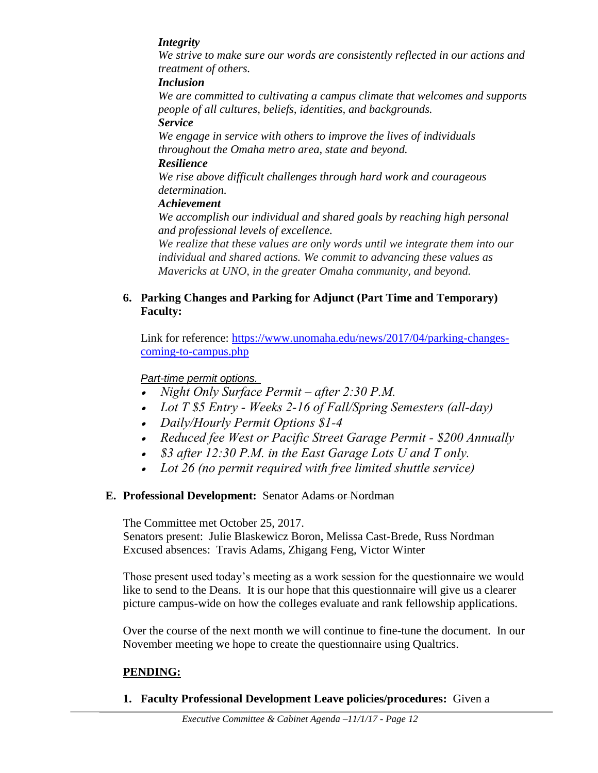### *Integrity*

*We strive to make sure our words are consistently reflected in our actions and treatment of others.*

#### *Inclusion*

*We are committed to cultivating a campus climate that welcomes and supports people of all cultures, beliefs, identities, and backgrounds.*

#### *Service*

*We engage in service with others to improve the lives of individuals throughout the Omaha metro area, state and beyond.* 

#### *Resilience*

*We rise above difficult challenges through hard work and courageous determination.* 

### *Achievement*

*We accomplish our individual and shared goals by reaching high personal and professional levels of excellence.*

*We realize that these values are only words until we integrate them into our individual and shared actions. We commit to advancing these values as Mavericks at UNO, in the greater Omaha community, and beyond.*

### **6. Parking Changes and Parking for Adjunct (Part Time and Temporary) Faculty:**

Link for reference: [https://www.unomaha.edu/news/2017/04/parking-changes](https://www.unomaha.edu/news/2017/04/parking-changes-coming-to-campus.php)[coming-to-campus.php](https://www.unomaha.edu/news/2017/04/parking-changes-coming-to-campus.php)

### *Part-time permit options.*

- *Night Only Surface Permit – after 2:30 P.M.*
- *Lot T \$5 Entry - Weeks 2-16 of Fall/Spring Semesters (all-day)*
- *Daily/Hourly Permit Options \$1-4*
- *Reduced fee West or Pacific Street Garage Permit - \$200 Annually*
- *\$3 after 12:30 P.M. in the East Garage Lots U and T only.*
- *Lot 26 (no permit required with free limited shuttle service)*

### **E. Professional Development:** Senator Adams or Nordman

The Committee met October 25, 2017.

Senators present: Julie Blaskewicz Boron, Melissa Cast-Brede, Russ Nordman Excused absences: Travis Adams, Zhigang Feng, Victor Winter

Those present used today's meeting as a work session for the questionnaire we would like to send to the Deans. It is our hope that this questionnaire will give us a clearer picture campus-wide on how the colleges evaluate and rank fellowship applications.

Over the course of the next month we will continue to fine-tune the document. In our November meeting we hope to create the questionnaire using Qualtrics.

### **PENDING:**

**1. Faculty Professional Development Leave policies/procedures:** Given a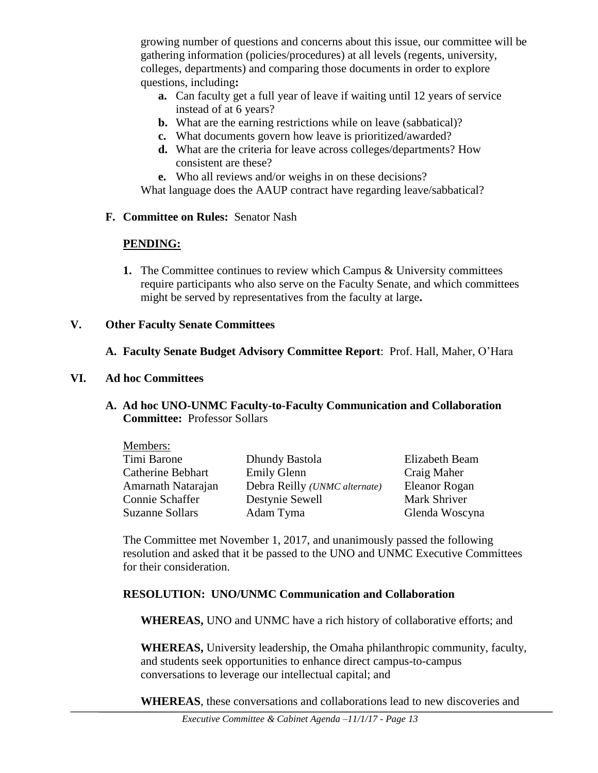growing number of questions and concerns about this issue, our committee will be gathering information (policies/procedures) at all levels (regents, university, colleges, departments) and comparing those documents in order to explore questions, including**:** 

- **a.** Can faculty get a full year of leave if waiting until 12 years of service instead of at 6 years?
- **b.** What are the earning restrictions while on leave (sabbatical)?
- **c.** What documents govern how leave is prioritized/awarded?
- **d.** What are the criteria for leave across colleges/departments? How consistent are these?
- **e.** Who all reviews and/or weighs in on these decisions?

What language does the AAUP contract have regarding leave/sabbatical?

**F. Committee on Rules:** Senator Nash

### **PENDING:**

**1.** The Committee continues to review which Campus & University committees require participants who also serve on the Faculty Senate, and which committees might be served by representatives from the faculty at large**.** 

### **V. Other Faculty Senate Committees**

### **A. Faculty Senate Budget Advisory Committee Report**: Prof. Hall, Maher, O'Hara

#### **VI. Ad hoc Committees**

**A. Ad hoc UNO-UNMC Faculty-to-Faculty Communication and Collaboration Committee:** Professor Sollars

| Members:                 |                               |                |
|--------------------------|-------------------------------|----------------|
| Timi Barone              | Dhundy Bastola                | Elizabeth Beam |
| <b>Catherine Bebhart</b> | <b>Emily Glenn</b>            | Craig Maher    |
| Amarnath Natarajan       | Debra Reilly (UNMC alternate) | Eleanor Rogan  |
| Connie Schaffer          | Destynie Sewell               | Mark Shriver   |
| Suzanne Sollars          | Adam Tyma                     | Glenda Woscyna |

The Committee met November 1, 2017, and unanimously passed the following resolution and asked that it be passed to the UNO and UNMC Executive Committees for their consideration.

### **RESOLUTION: UNO/UNMC Communication and Collaboration**

**WHEREAS,** UNO and UNMC have a rich history of collaborative efforts; and

**WHEREAS,** University leadership, the Omaha philanthropic community, faculty, and students seek opportunities to enhance direct campus-to-campus conversations to leverage our intellectual capital; and

**WHEREAS**, these conversations and collaborations lead to new discoveries and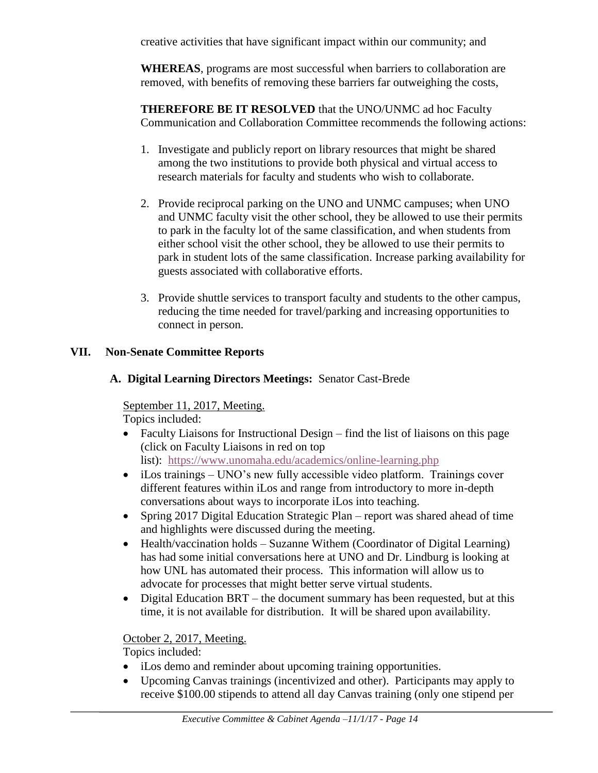creative activities that have significant impact within our community; and

**WHEREAS**, programs are most successful when barriers to collaboration are removed, with benefits of removing these barriers far outweighing the costs,

**THEREFORE BE IT RESOLVED** that the UNO/UNMC ad hoc Faculty Communication and Collaboration Committee recommends the following actions:

- 1. Investigate and publicly report on library resources that might be shared among the two institutions to provide both physical and virtual access to research materials for faculty and students who wish to collaborate.
- 2. Provide reciprocal parking on the UNO and UNMC campuses; when UNO and UNMC faculty visit the other school, they be allowed to use their permits to park in the faculty lot of the same classification, and when students from either school visit the other school, they be allowed to use their permits to park in student lots of the same classification. Increase parking availability for guests associated with collaborative efforts.
- 3. Provide shuttle services to transport faculty and students to the other campus, reducing the time needed for travel/parking and increasing opportunities to connect in person.

# **VII. Non-Senate Committee Reports**

# **A. Digital Learning Directors Meetings:** Senator Cast-Brede

September 11, 2017, Meeting.

Topics included:

- Faculty Liaisons for Instructional Design find the list of liaisons on this page (click on Faculty Liaisons in red on top list): <https://www.unomaha.edu/academics/online-learning.php>
- iLos trainings UNO's new fully accessible video platform. Trainings cover different features within iLos and range from introductory to more in-depth conversations about ways to incorporate iLos into teaching.
- Spring 2017 Digital Education Strategic Plan report was shared ahead of time and highlights were discussed during the meeting.
- Health/vaccination holds Suzanne Withem (Coordinator of Digital Learning) has had some initial conversations here at UNO and Dr. Lindburg is looking at how UNL has automated their process. This information will allow us to advocate for processes that might better serve virtual students.
- Digital Education BRT the document summary has been requested, but at this time, it is not available for distribution. It will be shared upon availability.

# October 2, 2017, Meeting.

Topics included:

- iLos demo and reminder about upcoming training opportunities.
- Upcoming Canvas trainings (incentivized and other). Participants may apply to receive \$100.00 stipends to attend all day Canvas training (only one stipend per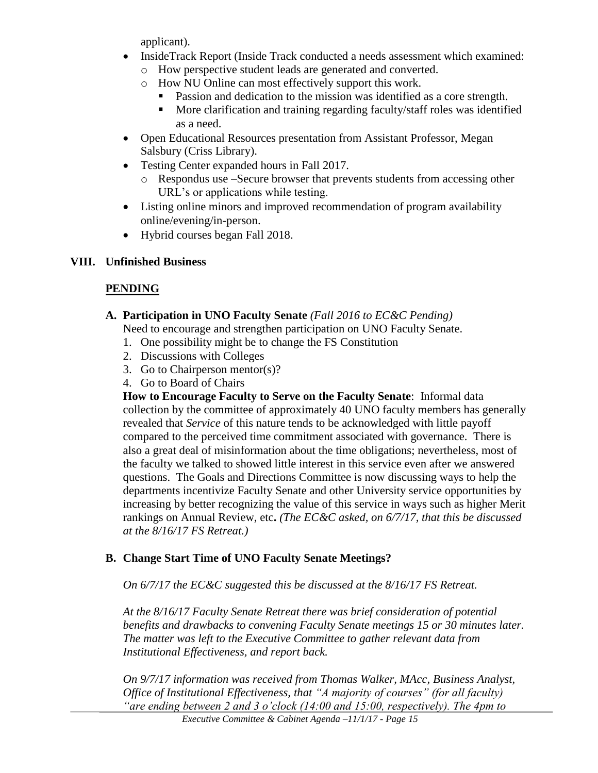applicant).

- InsideTrack Report (Inside Track conducted a needs assessment which examined:
	- o How perspective student leads are generated and converted.
	- o How NU Online can most effectively support this work.
		- **Passion and dedication to the mission was identified as a core strength.**
		- **More clarification and training regarding faculty/staff roles was identified** as a need.
- Open Educational Resources presentation from Assistant Professor, Megan Salsbury (Criss Library).
- Testing Center expanded hours in Fall 2017.
	- o Respondus use –Secure browser that prevents students from accessing other URL's or applications while testing.
- Listing online minors and improved recommendation of program availability online/evening/in-person.
- Hybrid courses began Fall 2018.

# **VIII. Unfinished Business**

# **PENDING**

# **A. Participation in UNO Faculty Senate** *(Fall 2016 to EC&C Pending)*

Need to encourage and strengthen participation on UNO Faculty Senate.

- 1. One possibility might be to change the FS Constitution
- 2. Discussions with Colleges
- 3. Go to Chairperson mentor(s)?
- 4. Go to Board of Chairs

**How to Encourage Faculty to Serve on the Faculty Senate**: Informal data collection by the committee of approximately 40 UNO faculty members has generally revealed that *Service* of this nature tends to be acknowledged with little payoff compared to the perceived time commitment associated with governance. There is also a great deal of misinformation about the time obligations; nevertheless, most of the faculty we talked to showed little interest in this service even after we answered questions. The Goals and Directions Committee is now discussing ways to help the departments incentivize Faculty Senate and other University service opportunities by increasing by better recognizing the value of this service in ways such as higher Merit rankings on Annual Review, etc**.** *(The EC&C asked, on 6/7/17, that this be discussed at the 8/16/17 FS Retreat.)*

# **B. Change Start Time of UNO Faculty Senate Meetings?**

*On 6/7/17 the EC&C suggested this be discussed at the 8/16/17 FS Retreat.*

*At the 8/16/17 Faculty Senate Retreat there was brief consideration of potential benefits and drawbacks to convening Faculty Senate meetings 15 or 30 minutes later. The matter was left to the Executive Committee to gather relevant data from Institutional Effectiveness, and report back.*

*On 9/7/17 information was received from Thomas Walker, MAcc, Business Analyst, Office of Institutional Effectiveness, that "A majority of courses" (for all faculty) "are ending between 2 and 3 o'clock (14:00 and 15:00, respectively). The 4pm to*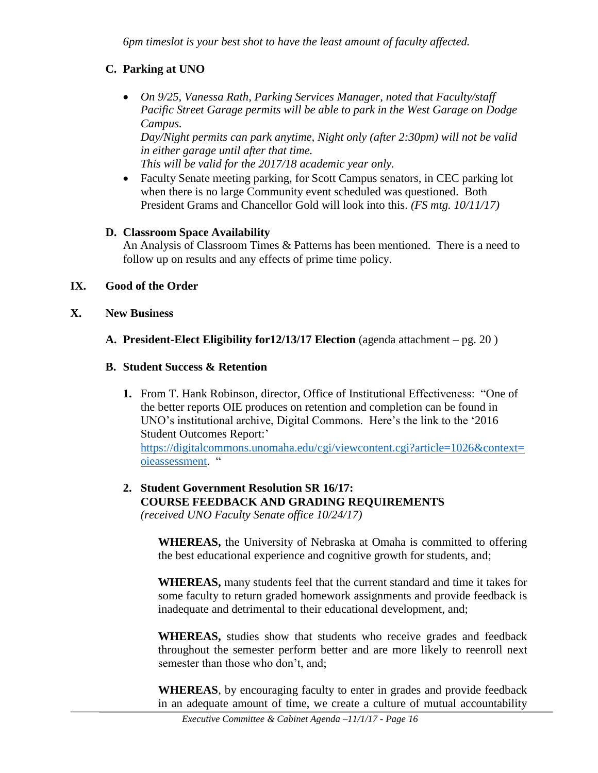*6pm timeslot is your best shot to have the least amount of faculty affected.*

### **C. Parking at UNO**

 *On 9/25, Vanessa Rath, Parking Services Manager, noted that Faculty/staff Pacific Street Garage permits will be able to park in the West Garage on Dodge Campus.*

*Day/Night permits can park anytime, Night only (after 2:30pm) will not be valid in either garage until after that time.*

*This will be valid for the 2017/18 academic year only.*

 Faculty Senate meeting parking, for Scott Campus senators, in CEC parking lot when there is no large Community event scheduled was questioned. Both President Grams and Chancellor Gold will look into this. *(FS mtg. 10/11/17)*

### **D. Classroom Space Availability**

An Analysis of Classroom Times & Patterns has been mentioned. There is a need to follow up on results and any effects of prime time policy.

### **IX. Good of the Order**

- **X. New Business**
	- **A. President-Elect Eligibility for12/13/17 Election** (agenda attachment pg. 20 )

### **B. Student Success & Retention**

**1.** From T. Hank Robinson, director, Office of Institutional Effectiveness: "One of the better reports OIE produces on retention and completion can be found in UNO's institutional archive, Digital Commons. Here's the link to the '2016 Student Outcomes Report:' [https://digitalcommons.unomaha.edu/cgi/viewcontent.cgi?article=1026&context=](https://digitalcommons.unomaha.edu/cgi/viewcontent.cgi?article=1026&context=oieassessment)

[oieassessment.](https://digitalcommons.unomaha.edu/cgi/viewcontent.cgi?article=1026&context=oieassessment) "

#### **2. Student Government Resolution SR 16/17: COURSE FEEDBACK AND GRADING REQUIREMENTS**  *(received UNO Faculty Senate office 10/24/17)*

**WHEREAS,** the University of Nebraska at Omaha is committed to offering the best educational experience and cognitive growth for students, and;

**WHEREAS,** many students feel that the current standard and time it takes for some faculty to return graded homework assignments and provide feedback is inadequate and detrimental to their educational development, and;

**WHEREAS,** studies show that students who receive grades and feedback throughout the semester perform better and are more likely to reenroll next semester than those who don't, and;

**WHEREAS**, by encouraging faculty to enter in grades and provide feedback in an adequate amount of time, we create a culture of mutual accountability